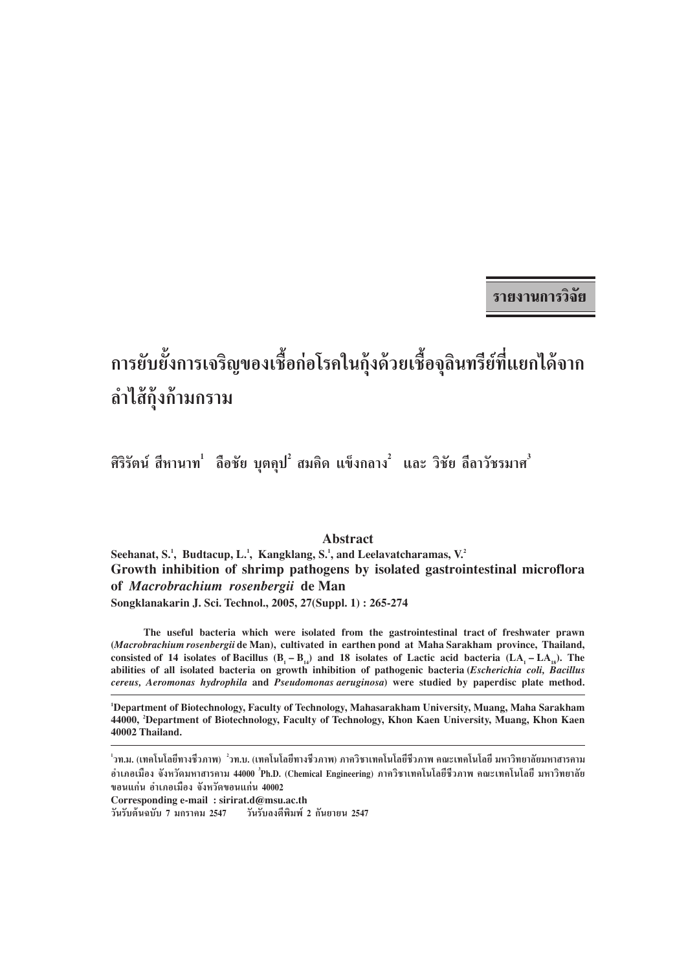รายงานการวิจัย

# ิ การยับยั้งการเจริญของเชื้อก่อโรคในกุ้งด้วยเชื้อจุลินทรีย์ที่แยกได้จาก ลำไส้กุ้งก้ามกราม

ี่ ศิริรัตน์ สีหานาท ่ ลือชัย บุตคุป ํ สมคิด แข็งกลาง ํ และ วิชัย ลีลาวัชรมาศ $^3$ 

#### **Abstract**

Seehanat, S.<sup>1</sup>, Budtacup, L.<sup>1</sup>, Kangklang, S.<sup>1</sup>, and Leelavatcharamas, V.<sup>2</sup> Growth inhibition of shrimp pathogens by isolated gastrointestinal microflora of Macrobrachium rosenbergii de Man Songklanakarin J. Sci. Technol., 2005, 27(Suppl. 1): 265-274

The useful bacteria which were isolated from the gastrointestinal tract of freshwater prawn (Macrobrachium rosenbergii de Man), cultivated in earthen pond at Maha Sarakham province, Thailand, consisted of 14 isolates of Bacillus  $(B_1 - B_1)$  and 18 isolates of Lactic acid bacteria  $(LA_1 - LA_{18})$ . The abilities of all isolated bacteria on growth inhibition of pathogenic bacteria (Escherichia coli, Bacillus cereus, Aeromonas hydrophila and Pseudomonas aeruginosa) were studied by paperdisc plate method.

<sup>1</sup>Department of Biotechnology, Faculty of Technology, Mahasarakham University, Muang, Maha Sarakham 44000, 'Department of Biotechnology, Faculty of Technology, Khon Kaen University, Muang, Khon Kaen 40002 Thailand.

Corresponding e-mail: sirirat.d@msu.ac.th

วันรับต้นฉบับ 7 มกราคม 2547 วันรับลงตีพิมพ์ 2 กันยายน 2547

 $^{\rm 1}$ วท.ม. (เทคโนโลยีทางชีวภาพ)  $^{\rm 2}$ วท.บ. (เทคโนโลยีทางชีวภาพ) ภาควิชาเทคโนโลยีชีวภาพ คณะเทคโนโลยี มหาวิทยาลัยมหาสารคาม อำเภอเมือง จังหวัดมหาสารคาม 44000 <sup>1</sup>Ph.D. (Chemical Engineering) ภาควิชาเทคโนโลยีชีวภาพ คณะเทคโนโลยี มหาวิทยาลัย ขอนแก่น อำเภอเมือง จังหวัดขอนแก่น 40002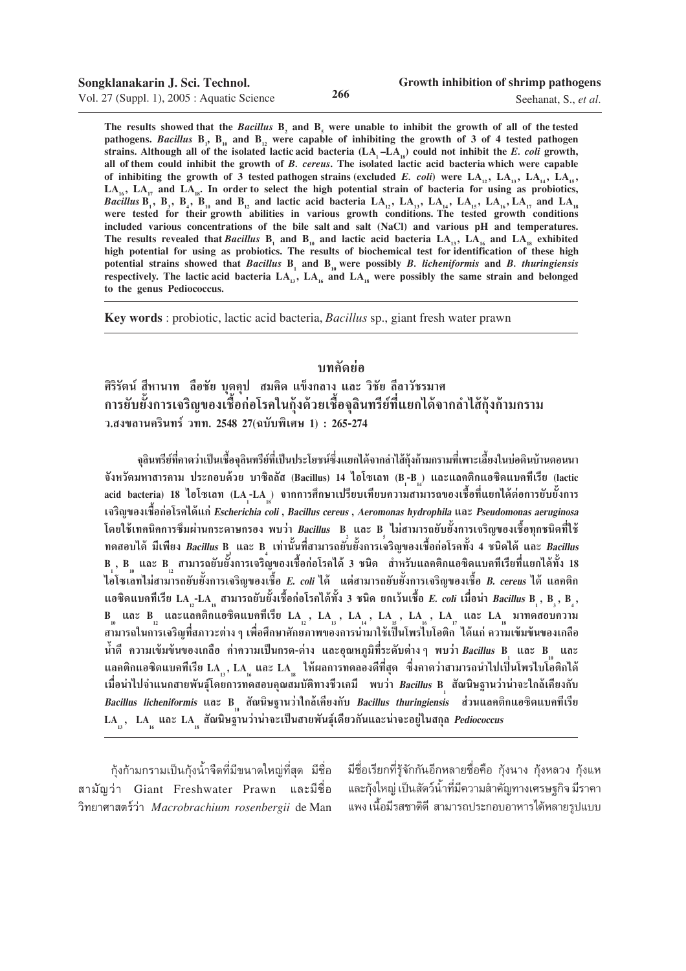Seehanat, S., *et al.*

The results showed that the *Bacillus*  $B_2$  and  $B_5$  were unable to inhibit the growth of all of the tested pathogens. *Bacillus*  $B_1$ ,  $B_{10}$  and  $B_{12}$  were capable of inhibiting the growth of 3 of 4 tested pathogen strains. Although all of the isolated lactic acid bacteria  $(LA_1 - LA_{18})$  could not inhibit the *E. coli* growth, **all of them could inhibit the growth of** *B. cereus***. The isolated lactic acid bacteria which were capable** of inhibiting the growth of 3 tested pathogen strains (excluded *E. coli*) were  $LA_1$ ,  $LA_1$ ,  $LA_1$ ,  $LA_1$ ,  $LA_{16}$ ,  $LA_{17}$  and  $LA_{18}$ . In order to select the high potential strain of bacteria for using as probiotics, *Bacillus*  $\overline{B_1}$ ,  $\overline{B_2}$ ,  $\overline{B_3}$ ,  $\overline{B_{10}}$  and  $\overline{B_{12}}$  and lactic acid bacteria  $LA_{12}$ ,  $LA_{13}$ ,  $LA_{14}$ ,  $LA_{15}$ ,  $LA_{16}$ ,  $LA_{17}$  and  $LA_{18}$ were tested for their growth abilities in various growth conditions. The tested growth conditions **included various concentrations of the bile salt and salt (NaCl) and various pH and temperatures.** The results revealed that *Bacillus*  $B_1$  and  $B_{10}$  and lactic acid bacteria  $LA_{13}$ ,  $LA_{16}$  and  $LA_{18}$  exhibited **high potential for using as probiotics. The results of biochemical test for identification of these high potential strains showed that** *Bacillus* **B1 and B10 were possibly** *B. licheniformis* **and** *B. thuringiensis* respectively. The lactic acid bacteria  $LA_{13}$ ,  $LA_{16}$  and  $LA_{18}$  were possibly the same strain and belonged **to the genus Pediococcus.**

**Key words** : probiotic, lactic acid bacteria, *Bacillus* sp., giant fresh water prawn

## **∫∑§—¥¬àÕ**

ู้ ศิริรัตน์ สีหานาท ลือชัย บุตคุป สมคิด แข็งกลาง และ วิชัย ลีลาวัชรมาศ ึ การยับยั้งการเจริญของเชื้อก่อโรคในกุ้งด้วยเชื้อจุลินทรีย์ที่แยกได้จากลำไส้กุ้งก้ามกราม ึว.สงขลานครินทร์ วทท. 2548 27(ฉบับพิเศษ 1) : 265-274

ึ่งลินทรีย์ที่กาดว่าเป็นเชื้องุลินทรีย์ที่เป็นประโยชน์ซึ่งแยกได้จากลำไส้กุ้งก้ามกรามที่เพาะเลี้ยงในบ่อดินบ้านดอนนา จังหวัดมหาสารคาม ประกอบด้วย บาซิลลัส (Bacillus) 14 ไอโซเลท (B-B ) และแลคติกแอซิดแบคทีเรีย (lactic acid bacteria) 18 ไอโซเลท (LA<sub>1</sub>-LA<sub>.1</sub>) จากการศึกษาเปรียบเทียบความสามารถของเชื้อที่แยกได้ต่อการยับยั้งการ **‡®√'≠¢Õ߇™◊ÈÕ°àÕ'√§‰¥â·°àEscherichia coli , Bacillus cereus , Aeromonas hydrophila ·≈– Pseudomonas aeruginosa** โดยใช้เทคนิคการซึมผ่านกระดาษกรอง พบว่า *Bacillus* B และ B ไม่สามารถยับยั้งการเจริญของเชื้อทุกชนิดที่ใช้ ทดสอบได้ มีเพียง *Bacillus* B และ B เท่านั้นที่สามารถยับยั้งการเจริญของเชื้อก่อโรคทั้ง 4 ชนิดได้ และ *Bacillus* **B1 , B10 ·≈– B12 "¡"√∂¬—∫¬—Èß°"√‡®√'≠¢Õ߇™◊ÈÕ°àÕ'√§‰¥â 3 ™π'¥ "À√—∫·≈§µ'°·Õ´'¥·∫§∑'‡√'¬∑'Ë·¬°‰¥â∑—Èß 18 ‰Õ'´‡≈∑‰¡à "¡"√∂¬—∫¬—Èß°"√‡®√'≠¢Õ߇™◊ÈÕ E. coli ‰¥â ·µà "¡"√∂¬—∫¬—Èß°"√‡®√'≠¢Õ߇™◊ÈÕ B. cereus ‰¥â ·≈§µ'°** แอซิดแบคทีเรีย LA -LA <sub>เ</sub> สามารถยับยั้งเชื้อก่อโรคได้ทั้ง 3 ชนิด ยกเว้นเชื้อ *E. coli* เมื่อนำ *Bacillus* B <sub>1</sub> , B <sub>3</sub> , B <sub>4</sub> **,**  $B_{10}$  และ  $B_{12}$  และแล<sup>็</sup>คติ๊กแอซิดแบคทีเรีย LA<sub>12</sub>, LA<sub>13</sub>, LA<sub>14</sub>, LA<sub>15</sub>, LA<sub>16</sub>, LA<sub>17</sub> และ LA<sub>18</sub> มาทดสอบความ สามารถในการเจริญที่สภาวะต่าง ๆ เพื่อศึกษาศักย**์ภาพของการนำมาใช้เป็นโพร่ไบโอติก** ่ ได้แก่ ความเข้มข้นของเกลือ  $\mathring{\mathbf{u}}$ ำดี ความเข้มข้นของเกลือ ค่าความเป็นกรด-ด่าง และอุณหภูมิที่ระดับต่างๆ พบว่า $\bm{B}$ *acillus* B<sub>1</sub> และ B<sub>10</sub> และ แลคติกแอซิดแบคทีเรีย LA ,, LA <sub>,</sub> และ LA , ให้ผลการทดลองดีที่สุด ซึ่งคาดว่าสามารถนำไปเป็นโพรไบโอติกได้<br>... เมื่อนำไปจำแนกสายพันธุ์โดยการท<sup>ี่</sup>ดสอบคุณสมบัติทางชีวเคมี พบว่า *Bacillus* B<sub>,</sub> สัณนิษฐานว่าน่าจะใกล้เคียงกับ  $\bm{B}$ acillus licheniformis และ  $\mathbf{B}_{_{10}}$  สัณนิษฐานว่าใกล้เคียงกับ  $\bm{B}$ acillus thuringiensis ส่วนแลกติกแอชิดแบคทีเรีย  $\text{LA}_{_{13}}$ ,  $\text{LA}_{_{16}}$  และ  $\text{LA}_{_{18}}$ สัณนิษฐ<sup>์</sup>านว่าน่าจะเป็นสายพันธุ์เดียวกันและน่าจะอยู่ในสกุล *Pediococcus* 

์ กุ้งก้ามกรามเป็นกุ้งน้ำจืดที่มีขนาดใหญ่ที่สุด มีชื่อ ี่สามัญว่า Giant Freshwater Prawn และมีชื่อ «'∑¬"»" µ√å«à" *Macrobrachium rosenbergii* de Man

ี่ มีชื่อเรียกที่รู้จักกันอีกหลายชื่อคือ กุ้งนาง กุ้งหลวง กุ้งแห ึ และกังใหญ่ เป็นสัตว์น้ำที่มีความสำคัญทางเศรษฐกิจ มีราคา เเพง เนื้อมีรสชาติดี สามารถประกอบอาหารได้หลายรูปแบบ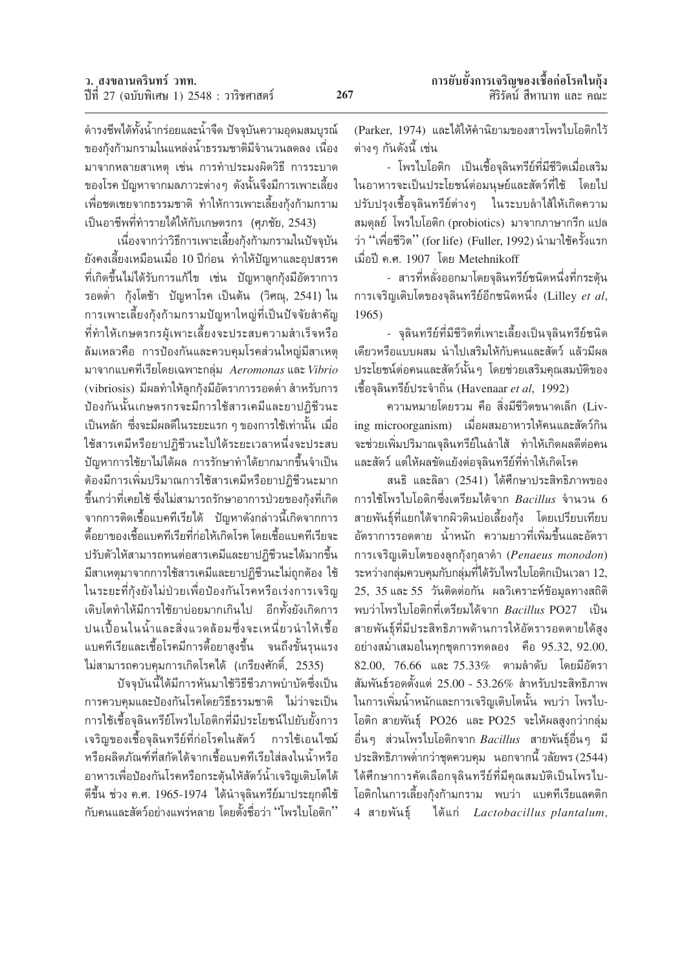้ดำรงชีพได้ทั้งน้ำกร่อยและน้ำจืด ปัจจุบันความอุดมสมบูรณ์ ของกุ้งก้ามกรามในแหล่งน้ำธรรมชาติมีจำนวนลดลง เนื่อง มาจากหลายสาเหตุ เช่น การทำประมงผิดวิธี การระบาด ของโรค ปัญหาจากมลภาวะต่าง ๆ ดังนั้นจึงมีการเพาะเลี้ยง เพื่อชดเชยจากธรรมชาติ ทำให้การเพาะเลี้ยงกุ้งก้ามกราม เป็นอาชีพที่ทำรายได้ให้กับเกษตรกร (ศุภชัย, 2543)

เนื่องจากว่าวิธีการเพาะเลี้ยงกุ้งก้ามกรามในปัจจุบัน ้ยังคงเลี้ยงเหมือนเมื่อ 10 ปีก่อน ทำให้ปัญหาและอุปสรรค ้ที่เกิดขึ้นไม่ได้รับการแก้ไข เช่น ปัญหาลูกกุ้งมีอัตราการ รอดต่ำ กุ้งโตช้า ปัญหาโรค เป็นต้น (วิศณุ, 2541) ใน การเพาะเลี้ยงกุ้งก้ามกรามปัญหาใหญ่ที่เป็นปัจจัยสำคัญ ที่ทำให้เกษตรกรผู้เพาะเลี้ยงจะประสบความสำเร็จหรือ ล้มเหลวคือ การป้องกันและควบคุมโรคส่วนใหญ่มีสาเหตุ มาจากแบคทีเรียโดยเฉพาะกลุ่ม Aeromonas และ Vibrio (vibriosis) มีผลทำให้ลูกกุ้งมีอัตราการรอดต่ำ สำหรับการ ป้องกันนั้นเกษตรกรจะมีการใช้สารเคมีและยาปฏิชีวนะ เป็นหลัก ซึ่งจะมีผลดีในระยะแรก ๆ ของการใช้เท่านั้น เมื่อ ใช้สารเคมีหรือยาปฏิชีวนะไปได้ระยะเวลาหนึ่งจะประสบ ปัญหาการใช้ยาไม่ได้ผล การรักษาทำได้ยากมากขึ้นจำเป็น ต้องมีการเพิ่มปริมาณการใช้สารเคมีหรือยาปฏิชีวนะมาก ขึ้นกว่าที่เคยใช้ ซึ่งไม่สามารถรักษาอาการป่วยของกุ้งที่เกิด ็จากการติดเชื้อแบคทีเรียได้ บัญหาดังกล่าวนี้เกิดจากการ ดื้อยาของเชื้อแบคทีเรียที่ก่อให้เกิดโรค โดยเชื้อแบคทีเรียจะ ปรับตัวให้สามารถทนต่อสารเคมีและยาปฏิชีวนะได้มากขึ้น มีสาเหตุมาจากการใช้สารเคมีและยาปฏิชีวนะไม่ถูกต้อง ใช้ ในระยะที่กุ้งยังไม่ป่วยเพื่อป้องกันโรคหรือเร่งการเจริญ เติบโตทำให้มีการใช้ยาบ่อยมากเกินไป อีกทั้งยังเกิดการ ปนเปื้อนในน้ำและสิ่งแวดล้อมซึ่งจะเหนี่ยวนำให้เชื้อ แบคทีเรียและเชื้อโรคมีการดื้อยาสูงขึ้น จนถึงขั้นรุนแรง ไม่สามารถควบคุมการเกิดโรคได้ (เกรียงศักดิ์, 2535)

บัจจุบันนี้ได้มีการหันมาใช้วิธีชีวภาพบำบัดซึ่งเป็น การควบคมและป้องกันโรคโดยวิธีธรรมชาติ ไม่ว่าจะเป็น การใช้เชื้อจุลินทรีย์โพรไบโอติกที่มีประโยชน์ไปยับยั้งการ เจริญของเชื้อจุลินทรีย์ที่ก่อโรคในสัตว์ การใช้เอนไซม์ หรือผลิตภัณฑ์ที่สกัดได้จากเชื้อแบคทีเรียใส่ลงในน้ำหรือ อาหารเพื่อป้องกันโรคหรือกระตุ้นให้สัตว์น้ำเจริญเติบโตได้ ดีขึ้น ช่วง ค.ศ. 1965-1974 ได้นำจุลินทรีย์มาประยุกต์ใช้ ้กับคนและสัตว์อย่างแพร่หลาย โดยตั้งชื่อว่า ''โพรไบโอติก''

(Parker, 1974) และได้ให้คำนิยามของสารโพรไบโอติกไว้ ต่างๆ กันดังนี้ เช่น

- โพรไบโอติก เป็นเชื้อจุลินทรีย์ที่มีชีวิตเมื่อเสริม ในอาหารจะเป็นประโยชน์ต่อมนษย์และสัตว์ที่ใช้ โดยไป ปรับปรุงเชื้อจุลินทรีย์ต่างๆ ในระบบลำไส้ให้เกิดความ สมดุลย์ โพรไบโอติก (probiotics) มาจากภาษากรีก แปล ว่า "เพื่อชีวิต" (for life) (Fuller, 1992) นำมาใช้ครั้งแรก เมื่อปี ค.ศ. 1907 โดย Metehnikoff

- สารที่หลั่งออกมาโดยจุลินทรีย์ชนิดหนึ่งที่กระตุ้น การเจริญเติบโตของจุลินทรีย์อีกชนิดหนึ่ง (Lilley et al,  $1965$ 

- จุลินทรีย์ที่มีชีวิตที่เพาะเลี้ยงเป็นจุลินทรีย์ชนิด เดียวหรือแบบผสม นำไปเสริมให้กับคนและสัตว์ แล้วมีผล ประโยชน์ต่อคนและสัตว์นั้น ๆ โดยช่วยเสริมคุณสมบัติของ เชื้อจุลินทรีย์ประจำถิ่น (Havenaar et al, 1992)

ี ความหมายโดยรวม คือ สิ่งมีชีวิตขนาดเล็ก (Living microorganism) เมื่อผสมอาหารให้คนและสัตว์กิน ้จะช่วยเพิ่มปริมาณจุลินทรีย์ในลำไส้ ทำให้เกิดผลดีต่อคน และสัตว์ แต่ให้ผลขัดแย้งต่อจุลินทรีย์ที่ทำให้เกิดโรค

สนธิ และลิลา (2541) ได้ศึกษาประสิทธิภาพของ การใช้โพรไบโอติกซึ่งเตรียมได้จาก Bacillus จำนวน 6 สายพันธุ์ที่แยกได้จากผิวดินบ่อเลี้ยงกุ้ง โดยเปรียบเทียบ ้อัตราการรอดตาย น้ำหนัก ความยาวที่เพิ่มขึ้นและอัตรา การเจริญเติบโตของลูกกุ้งกุลาดำ (Penaeus monodon) ระหว่างกลุ่มควบคุมกับกลุ่มที่ได้รับไพรไบโอติกเป็นเวลา 12, 25, 35 และ 55 วันติดต่อกัน ผลวิเคราะห์ข้อมูลทางสถิติ พบว่าโพรไบโอติกที่เตรียมได้จาก Bacillus PO27 เป็น สายพันธุ์ที่มีประสิทธิภาพด้านการให้อัตรารอดตายได้สูง อย่างสม่ำเสมอในทุกชุดการทดลอง คือ 95.32, 92.00,  $82.00, 76.66$  และ  $75.33\%$  ตามลำดับ โดยมีอัตรา สัมพันธ์รอดตั้งแต่ 25.00 - 53.26% สำหรับประสิทธิภาพ ในการเพิ่มน้ำหนักและการเจริญเติบโตนั้น พบว่า โพรไบ-โอติก สายพันธุ์ PO26 และ PO25 จะให้ผลสูงกว่ากลุ่ม อื่นๆ ส่วนโพรไบโอติกจาก Bacillus สายพันธุ์อื่นๆ มี ประสิทธิภาพต่ำกว่าชุดควบคุม นอกจากนี้ วลัยพร $(2544)$ ได้ศึกษาการคัดเลือกจุลินทรีย์ที่มีคุณสมบัติเป็นโพรไบ-โอติกในการเลี้ยงกุ้งก้ามกราม พบว่า แบคทีเรียแลคติก 4 สายพันธ์ ได้แก่ Lactobacillus plantalum,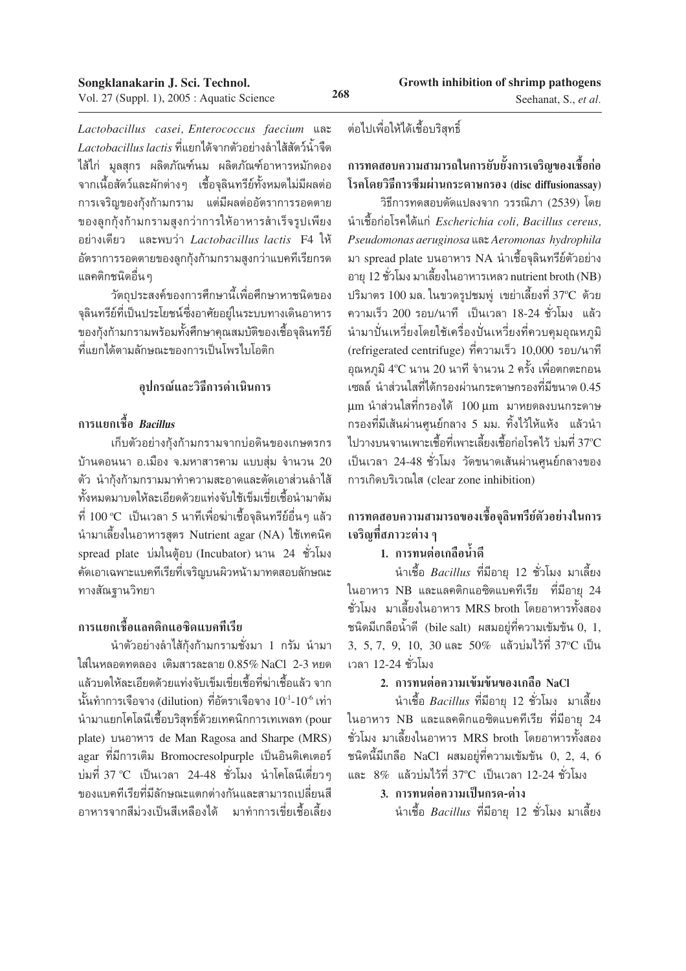Lactobacillus casei, Enterococcus faecium และ Lactobacillus lactis ที่แยกได้จากตัวอย่างลำไส้สัตว์น้ำจืด ไส้ไก่ มูลสุกร ผลิตภัณฑ์นม ผลิตภัณฑ์อาหารหมักดอง ์ จากเนื้อสัตว์และผักต่างๆ เชื้อจุลินทรีย์ทั้งหมดไม่มีผลต่อ การเจริญของกุ้งก้ามกราม แต่มีผลต่ออัตราการรอดตาย ของลูกกุ้งก้ามกรามสูงกว่าการให้อาหารสำเร็จรูปเพียง อย่างเดียว และพบว่า Lactobacillus lactis F4 ให้ อัตราการรอดตายของลูกกุ้งก้ามกรามสูงกว่าแบคทีเรียกรด แลคติกชนิดอื่น ๆ

วัตถุประสงค์ของการศึกษานี้เพื่อศึกษาหาชนิดของ จุลินทรีย์ที่เป็นประโยชน์ซึ่งอาศัยอยู่ในระบบทางเดินอาหาร ของกุ้งก้ามกรามพร้อมทั้งศึกษาคุณสมบัติของเชื้อจุลินทรีย์ ที่แยกได้ตามลักษณะของการเป็นโพรไปโอติก

# อุปกรณ์และวิธีการดำเนินการ

# ิการแยกเชื้อ *Bacillus*

เก็บตัวอย่างกุ้งก้ามกรามจากบ่อดินของเกษตรกร บ้านดอนนา อ.เมือง จ.มหาสารคาม แบบสุ่ม จำนวน  $20$ ้ตัว นำกุ้งก้ามกรามมาทำความสะอาดและตัดเอาส่วนลำไส้ ทั้งหมดมาบดให้ละเอียดด้วยแท่งจับใช้เข็มเขี่ยเชื้อนำมาต้ม ีที่ 100 °C เป็นเวลา 5 นาทีเพื่อฆ่าเชื้อจุลินทรีย์อื่น ๆ แล้ว นำมาเลี้ยงในอาหารสูตร Nutrient agar (NA) ใช้เทคนิค spread plate บ่มในต้อบ (Incubator) นาน 24 ชั่วโมง ้คัดเอาเฉพาะแบคทีเรียที่เจริญบนผิวหน้ามาทดสอบลักษณะ ทางสัณฐานวิทยา

# ิการแยกเชื้อแลคติกแอซิดแบคทีเรีย

้นำตัวอย่างลำไส้กุ้งก้ามกรามชั่งมา 1 กรัม นำมา ใส่ในหลอดทดลอง เติมสารละลาย 0.85% NaCl 2-3 หยด แล้วบดให้ละเอียดด้วยแท่งจับเข็มเขี่ยเชื้อที่ฆ่าเชื้อแล้ว จาก  $\tilde{\tilde{\mathbf{u}}}$ นทำการเจือจาง (dilution) ที่อัตราเจือจาง  $10^{-1}\text{-}10^{-6}$  เท่า นำมาแยกโคโลนีเชื้อบริสุทธิ์ด้วยเทคนิกการเทเพลท (pour plate) บนอาหาร de Man Ragosa and Sharpe (MRS) agar ที่มีการเติม Bromocresolpurple เป็นอินดิเคเตอร์ บ่มที่ 37 °C เป็นเวลา 24-48 ชั่วโมง นำโคโลนีเดี่ยวๆ ของแบคทีเรียที่มีลักษณะแตกต่างกันและสามารถเปลี่ยนสี ้อาหารจากสีม่วงเป็นสีเหลืองใด้ มาทำการเขี่ยเชื้อเลี้ยง

#### ต่อไปเพื่อให้ได้เชื้อบริสุทธิ์

# การทดสอบความสามารถในการยับยั้งการเจริญของเชื้อก่อ โรคโดยวิธีการซึมผ่านกระดาษกรอง (disc diffusionassay)

วิธีการทดสอบดัดแปลงจาก วรรณิภา (2539) โดย นำเชื้อก่อโรคได้แก่ Escherichia coli, Bacillus cereus, Pseudomonas aeruginosa unz Aeromonas hydrophila มา spread plate บนอาหาร NA นำเชื้อจุลินทรีย์ตัวอย่าง อายุ 12 ชั่วโมง มาเลี้ยงในอาหารเหลว nutrient broth (NB) ปริมาตร 100 มล. ในขวดรูปชมพู่ เขย่าเลี้ยงที่ 37°C ด้วย ์ ความเร็ว 200 รอบ/นาที เป็นเวลา 18-24 ชั่วโมง แล้ว นำมาปั่นเหวี่ยงโดยใช้เครื่องปั่นเหวี่ยงที่ควบคุมอุณหภูมิ (refrigerated centrifuge) ที่ความเร็ว 10,000 รอบ/นาที อุณหภูมิ 4ºC นาน 20 นาที จำนวน 2 ครั้ง เพื่อตกตะกอน เซลล์ นำส่วนใสที่ได้กรองผ่านกระดาษกรองที่มีขนาด 0.45 นm นำส่วนใสที่กรองได้ 100 นm มาหยดลงบนกระดาษ ึกรองที่มีเส้นผ่านศูนย์กลาง 5 มม. ทิ้งไว้ให้แห้ง แล้วนำ ไปวางบนจานเพาะเชื้อที่เพาะเลี้ยงเชื้อก่อโรคไว้ บ่มที่ 37°C เป็นเวลา 24-48 ชั่วโมง วัดขนาดเส้นผ่านศูนย์กลางของ การเกิดบริเวณใส (clear zone inhibition)

# ิการทดสอบความสามารถของเชื้อจุลินทรีย์ตัวอย่างในการ ้ เจริญที่สภาวะต่าง ๆ

# 1. การทนต่อเกลือน้ำดื

ี นำเชื้อ *Bacillus* ที่มีอายุ 12 ชั่วโมง มาเลี้ยง ในอาหาร NB และแลคติกแอซิดแบคทีเรีย ที่มีอายุ 24 ชั่วโมง มาเลี้ยงในอาหาร MRS broth โดยอาหารทั้งสอง ชนิดมีเกลือน้ำดี (bile salt) ผสมอยู่ที่ความเข้มข้น 0, 1, 3, 5, 7, 9, 10, 30 และ 50% แล้วบ่มไว้ที่ 37°C เป็น เวลา 12-24 ชั่วโมง

# 2. การทนต่อความเข้มข้นของเกลือ NaCl

ี นำเชื้อ *Bacillus* ที่มีอายุ 12 ชั่วโมง มาเลี้ยง ในอาหาร NB และแลคติกแอซิดแบคทีเรีย ที่มีอายุ 24 ชั่วโมง มาเลี้ยงในอาหาร MRS broth โดยอาหารทั้งสอง ชนิดนี้มีเกลือ NaCl ผสมอยู่ที่ความเข้มข้น  $0, 2, 4, 6$ และ  $8\%$  แล้วบ่มไว้ที่ 37°C เป็นเวลา 12-24 ชั่วโมง

3. การทนต่อความเป็นกรด-ด่าง

นำเชื้อ *Bacillus* ที่มีอายุ 12 ชั่วโมง มาเลี้ยง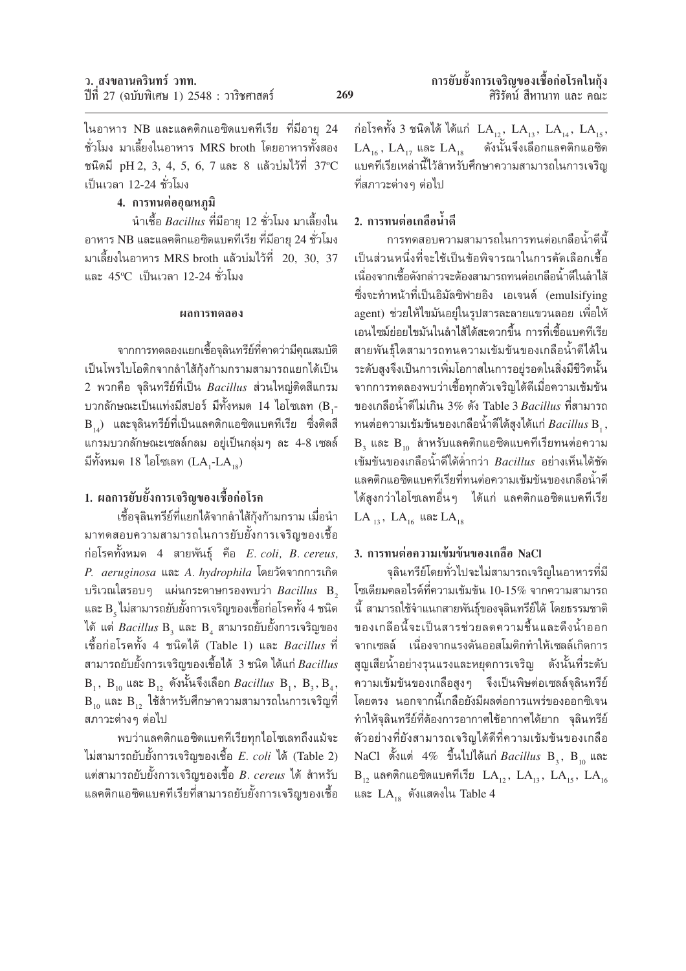ในอาหาร NB และแลคติกแอซิดแบคทีเรีย ที่มีอายุ 24 ชั่วโมง มาเลี้ยงในอาหาร MRS broth โดยอาหารทั้งสอง ชนิดมี pH 2, 3, 4, 5, 6, 7 และ 8 แล้วบ่มไว้ที่  $37^{\circ}$ C เป็นเวลา 12-24 ชั่วโมง

# 4. การทนต่ออณหภมิ

นำเชื้อ *Bacillus* ที่มีอายุ 12 ชั่วโมง มาเลี้ยงใน อาหาร NB และแลคติกแอซิดแบคทีเรีย ที่มีอายุ 24 ชั่วโมง มาเลี้ยงในอาหาร MRS broth แล้วบ่มไว้ที่ 20, 30, 37 และ 45°C เป็นเวลา 12-24 ชั่วโมง

#### ผลการทดลอง

ิจากการทดลองแยกเชื้อจุลินทรีย์ที่คาดว่ามีคุณสมบัติ เป็นโพรไบโอติกจากลำไส้กุ้งก้ามกรามสามารถแยกได้เป็น 2 พวกคือ จุลินทรีย์ที่เป็น *Bacillus* ส่วนใหญ่ติดสีแกรม บวกลักษณะเป็นแท่งมีสปอร์ มีทั้งหมด 14 ไอโซเลท (B,- $\rm\,B_{14})$  และจุลินทรีย์ที่เป็นแลคติกแอซิดแบคทีเรีย ซึ่งติดสี แกรมบวกลักษณะเซลล์กลม อยู่เป็นกลุ่มๆ ละ 4-8 เซลล์ มีทั้งหมด 18 ไอโซเลท  $(LA, -LA)$ 

# 1. ผลการยับยั้งการเจริญของเชื้อก่อโรค

เชื้อจุลินทรีย์ที่แยกได้จากลำไส้กุ้งก้ามกราม เมื่อนำ มาทดสอบความสามารถในการยับยั้งการเจริญของเชื้อ ก่อโรคทั้งหมด 4 สายพันธุ์ คือ  $E.$   $coll, B.$   $c$ ereus, P. aeruginosa และ A. hydrophila โดยวัดจากการเกิด บริเวณใสรอบๆ แผ่นกระดาษกรองพบว่า *Bacillus* B. และ  $\mathrm B$  ู ไม่สามารถยับยั้งการเจริญของเชื้อก่อโรคทั้ง 4 ชนิด ได้ แต่ *Bacillus* B, และ B, สามารถยับยั้งการเจริญของ เชื้อก่อโรคทั้ง 4 ชนิดได้ (Table 1) และ *Bacillus* ที่ ี่สามารถยับยั้งการเจริญของเชื้อได้ 3 ชนิด ได้แก่ Bacillus  $B_1$ ,  $B_{10}$  และ  $B_{12}$  ดังนั้นจึงเลือก *Bacillus*  $B_1$ ,  $B_2$ ,  $B_3$ ,  $B_{10}$  และ  $B_{12}$  ใช้สำหรับศึกษาความสามารถในการเจริญที่ สภาวะต่างๆ ต่อไป

พบว่าแลคติกแอซิดแบคทีเรียทุกไอโซเลทถึงแม้จะ ไม่สามารถยับยั้งการเจริญของเชื้อ *E. coli* ได้ (Table 2) แต่สามารถยับยั้งการเจริญของเชื้อ *B. cereus* ได้ สำหรับ แลคติกแอซิดแบคทีเรียที่สามารถยับยั้งการเจริญของเชื้อ ก่อโรคทั้ง 3 ชนิดได้ ได้แก่  $LA_{_{12}},\; LA_{_{13}},\; LA_{_{14}},\; LA_{_{15}},$  $LA_{16}$ ,  $LA_{17}$  และ  $LA_{18}$ ดังนั้นจึงเลือกแลคติกแอซิด แบคทีเรียเหล่านี้ไว้สำหรับศึกษาความสามารถในการเจริญ ที่สภาวะต่างๆ ต่อไป

# 2. การทนต่อเกลือน้ำดี

้การทดสอบความสามารถในการทนต่อเกลือน้ำดีนี้ เป็นส่วนหนึ่งที่จะใช้เป็นข้อพิจารณาในการคัดเลือกเชื้อ ้<br>เนื่องจากเชื้อดังกล่าวจะต้องสามารถทนต่อเกลือน้ำดีในลำไส้ ซึ่งจะทำหน้าที่เป็นอิมัลซิฟายอิง เอเจนต์ (emulsifying agent) ช่วยให้ไขมันอยู่ในรูปสารละลายแขวนลอย เพื่อให้ เอนไซม์ย่อยไขมันในลำไส้ได้สะดวกขึ้น การที่เชื้อแบคทีเรีย สายพันธ์ใดสามารถทนความเข้มข้นของเกลือน้ำดีได้ใน ระดับสูงจึงเป็นการเพิ่มโอกาสในการอยู่รอดในสิ่งมีชีวิตนั้น จากการทดลองพบว่าเชื้อทกตัวเจริญได้ดีเมื่อความเข้มข้น ของเกลือน้ำดีไม่เกิน 3% ดัง Table 3 Bacillus ที่สามารถ ทนต่อความเข้มข้นของเกลือน้ำดีได้สูงได้แก่  $Bacillus$   $\mathrm B$  , ,  $B_3$  และ  $B_{10}$  สำหรับแลคติกแอซิดแบคทีเรียทนต่อความ เข้มข้นของเกลือน้ำดีได้ต่ำกว่า Bacillus อย่างเห็นได้ชัด แลคติกแอซิดแบคทีเรียที่ทนต่อความเข้มข้นของเกลือน้ำดี ได้สูงกว่าไอโซเลทอื่นๆ ได้แก่ แลคติกแอซิดแบคทีเรีย LA  $_{13}$ , LA  $_{16}$  และ LA  $_{18}$ 

# 3. การทนต่อความเข้มข้นของเกลือ NaCl

จุลินทรีย์โดยทั่วไปจะไม่สามารถเจริญในอาหารที่มี โซเดียมคลอไรด์ที่ความเข้มข้น 10-15% จากความสามารถ ้นี้ สามารถใช้จำแนกสายพันธุ์ของจุลินทรีย์ได้ โดยธรรมชาติ ของเกลือนี้จะเป็นสารช่วยลดความชื้นและดึงน้ำออก จากเซลล์ เนื่องจากแรงดันออสโมติกทำให้เซลล์เกิดการ สูญเสียน้ำอย่างรุนแรงและหยุดการเจริญ ดังนั้นที่ระดับ ความเข้มข้นของเกลือสูงๆ จึงเป็นพิษต่อเซลล์จุลินทรีย์ โดยตรง นอกจากนี้เกลือยังมีผลต่อการแพร่ของออกซิเจน ทำให้จุลินทรีย์ที่ต้องการอากาศใช้อากาศได้ยาก จุลินทรีย์ ตัวอย่างที่ยังสามารถเจริญได้ดีที่ความเข้มข้นของเกลือ NaCl ตั้งแต่ 4% ขึ้นไปได้แก่  $Bacillus$   $B_3$ ,  $B_{10}$  และ  $B_{12}$  แลคติกแอซิดแบคทีเรีย  $LA_{12}$ ,  $LA_{13}$ ,  $LA_{15}$ ,  $LA_{16}$ และ  $LA_{18}$  ดังแสดงใน Table 4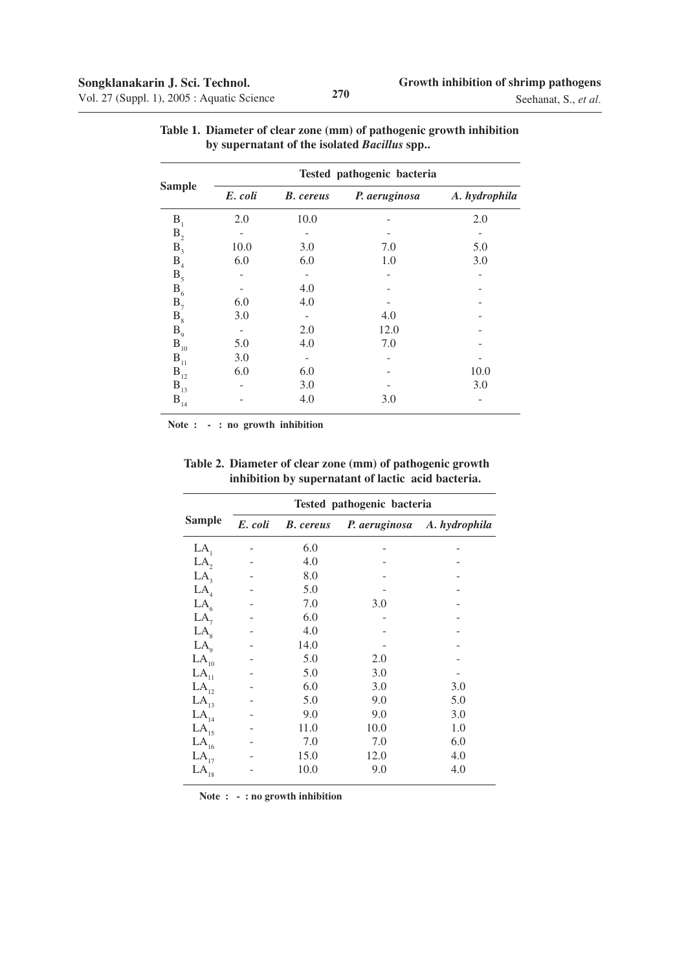|                | Tested pathogenic bacteria |                  |               |               |  |  |
|----------------|----------------------------|------------------|---------------|---------------|--|--|
| <b>Sample</b>  | E. coli                    | <b>B.</b> cereus | P. aeruginosa | A. hydrophila |  |  |
| $B_1$          | 2.0                        | 10.0             |               | 2.0           |  |  |
| B <sub>2</sub> |                            |                  |               |               |  |  |
| $B_3$          | 10.0                       | 3.0              | 7.0           | 5.0           |  |  |
| B <sub>4</sub> | 6.0                        | 6.0              | 1.0           | 3.0           |  |  |
| $B_5$          |                            |                  |               |               |  |  |
| $B_6$          |                            | 4.0              |               |               |  |  |
| $B_7$          | 6.0                        | 4.0              |               |               |  |  |
| $B_{8}$        | 3.0                        |                  | 4.0           |               |  |  |
| $B_{\rm q}$    |                            | 2.0              | 12.0          |               |  |  |
| $B_{10}$       | 5.0                        | 4.0              | 7.0           |               |  |  |
| $B_{11}$       | 3.0                        |                  |               |               |  |  |
| $B_{12}$       | 6.0                        | 6.0              |               | 10.0          |  |  |
| $B_{13}$       |                            | 3.0              |               | 3.0           |  |  |
| $B_{14}$       |                            | 4.0              | 3.0           |               |  |  |

| Table 1. Diameter of clear zone (mm) of pathogenic growth inhibition |
|----------------------------------------------------------------------|
| by supernatant of the isolated <i>Bacillus</i> spp                   |

 **Note : - : no growth inhibition**

|                       | Tested pathogenic bacteria |                  |               |               |  |  |  |
|-----------------------|----------------------------|------------------|---------------|---------------|--|--|--|
| <b>Sample</b>         | E. coli                    | <b>B.</b> cereus | P. aeruginosa | A. hydrophila |  |  |  |
| LA,                   |                            | 6.0              |               |               |  |  |  |
| LA,                   |                            | 4.0              |               |               |  |  |  |
| LA <sub>3</sub>       |                            | 8.0              |               |               |  |  |  |
| LA <sub>4</sub>       |                            | 5.0              |               |               |  |  |  |
| LA <sub>6</sub>       |                            | 7.0              | 3.0           |               |  |  |  |
| LA <sub>7</sub>       |                            | 6.0              |               |               |  |  |  |
| LA <sub>s</sub>       |                            | 4.0              |               |               |  |  |  |
| LA <sub>0</sub>       |                            | 14.0             |               |               |  |  |  |
| $\mathrm{LA}_{_{10}}$ |                            | 5.0              | 2.0           |               |  |  |  |
| $\mathrm{LA}_{_{11}}$ |                            | 5.0              | 3.0           |               |  |  |  |
| $LA_{12}$             |                            | 6.0              | 3.0           | 3.0           |  |  |  |
| LA <sub>13</sub>      |                            | 5.0              | 9.0           | 5.0           |  |  |  |
| $LA_{14}$             |                            | 9.0              | 9.0           | 3.0           |  |  |  |
| $\mathrm{LA}_{_{15}}$ |                            | 11.0             | 10.0          | 1.0           |  |  |  |
| $\mathrm{LA}_{_{16}}$ |                            | 7.0              | 7.0           | 6.0           |  |  |  |
| $LA_{17}$             |                            | 15.0             | 12.0          | 4.0           |  |  |  |
| $\mathrm{LA}_{_{18}}$ |                            | 10.0             | 9.0           | 4.0           |  |  |  |

**Table 2. Diameter of clear zone (mm) of pathogenic growth inhibition by supernatant of lactic acid bacteria.**

 **Note : - : no growth inhibition**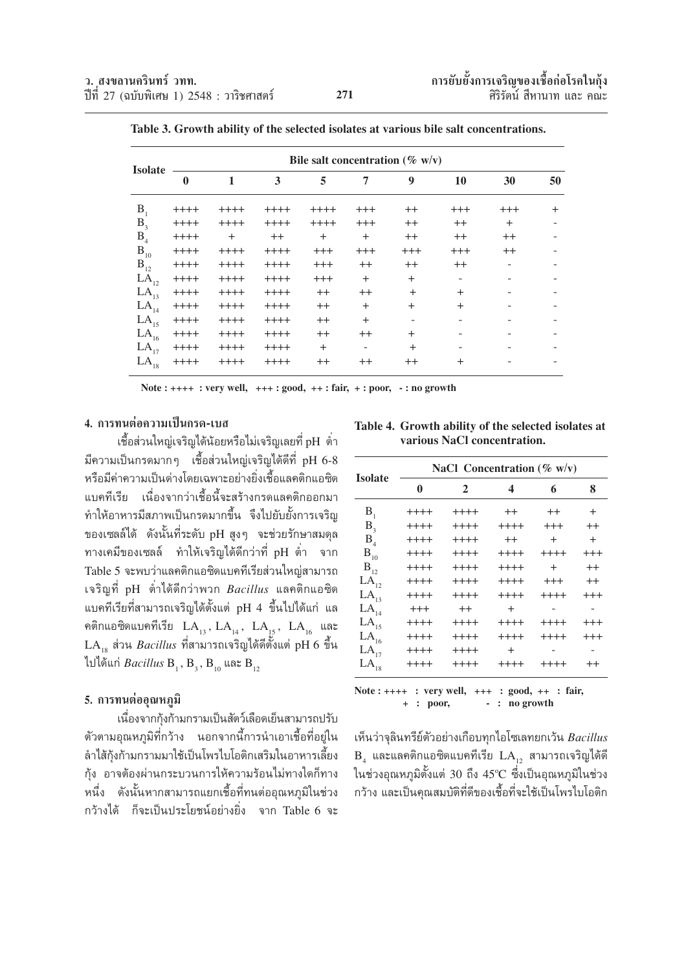|                  | Bile salt concentration ( $\%$ w/v) |         |        |          |          |          |                |         |        |
|------------------|-------------------------------------|---------|--------|----------|----------|----------|----------------|---------|--------|
| <b>Isolate</b>   | $\bf{0}$                            | 1       | 3      | 5        | 7        | 9        | 10             | 30      | 50     |
| B <sub>1</sub>   | $+++++$                             | $+++++$ | $++++$ | $++++$   | $+++$    | $++$     | $+++$          | $+++$   | $^{+}$ |
| $B_3$            | $++++$                              | $++++$  | $++++$ | $++++$   | $^{+++}$ | $^{++}$  | $^{++}$        | $^{+}$  |        |
| $\mathbf{B}_4$   | $++++$                              | $^{+}$  | $++$   | $+$      | $+$      | $^{++}$  | $^{++}$        | $++$    |        |
| $B_{10}$         | $++++$                              | $+++++$ | $++++$ | $^{+++}$ | $+++$    | $^{+++}$ | $^{+++}$       | $^{++}$ |        |
| $B_{12}$         | $++++$                              | $++++$  | $++++$ | $^{+++}$ | $^{++}$  | $^{++}$  | $^{++}$        |         |        |
| $LA_{12}$        | $++++$                              | $++++$  | $++++$ | $^{+++}$ | $^{+}$   | $^{+}$   | $\overline{a}$ |         |        |
| $LA_{13}$        | $++++$                              | $++++$  | $++++$ | $++$     | $^{++}$  | $+$      | $+$            |         |        |
| LA <sub>14</sub> | $++++$                              | $++++$  | $++++$ | $++$     | $+$      | $^{+}$   | $^{+}$         |         |        |
| $LA_{15}$        | $+++++$                             | $++++$  | $++++$ | $++$     | $+$      | ۰        |                |         |        |
| $LA_{16}$        | $++++$                              | $++++$  | $++++$ | $^{++}$  | $^{++}$  | $+$      |                |         |        |
| $LA_{17}$        | $++++$                              | $++++$  | $++++$ | $+$      |          | $+$      |                |         |        |
| $LA_{18}$        | $++++$                              | $++++$  | $++++$ | $++$     | $^{++}$  | $^{++}$  | $\pm$          |         |        |

Table 3. Growth ability of the selected isolates at various bile salt concentrations.

Note:  $++++$ : very well,  $++$ : good,  $++$ : fair,  $+$ : poor,  $-$ : no growth

# 4. การทนต่อความเป็นกรด-เบส

้เชื้อส่วนใหญ่เจริญได้น้อยหรือไม่เจริญเลยที่ pH ต่ำ ้มีความเป็นกรดมากๆ เชื้อส่วนใหญ่เจริญได้ดีที่ pH 6-8 หรือมีค่าความเป็นด่างโดยเฉพาะอย่างยิ่งเชื้อแลคติกแอซิด แบคทีเรีย เนื่องจากว่าเชื้อนี้จะสร้างกรดแลคติกออกมา ทำให้อาหารมีสภาพเป็นกรดมากขึ้น จึงไปยับยั้งการเจริญ ของเซลล์ได้ ดังนั้นที่ระดับ pH สูงๆ จะช่วยรักษาสมดุล ทางเคมีของเซลล์ ทำให้เจริญได้ดีกว่าที่ pH ต่ำ จาก Table 5 จะพบว่าแลคติกแอซิดแบคทีเรียส่วนใหญ่สามารถ เจริญที่ pH ต่ำได้ดีกว่าพวก *Bacillus* แลคติกแอซิด แบคทีเรียที่สามารถเจริญได้ตั้งแต่ pH 4 ขึ้นไปได้แก่ แล คติกแอซิดแบคทีเรีย  $LA_{13}$ ,  $LA_{14}$ ,  $LA_{15}$ ,  $LA_{16}$  และ  $\text{LA}_{18}$  ส่วน  $\textit{Bacillus}$  ที่สามารถเจริญได้ดีตั้งแต่ pH 6 ขึ้น ไปได้แก่ *Bacillus* B<sub>1</sub>, B<sub>3</sub>, B<sub>10</sub> และ B<sub>12</sub>

#### 5. การทนต่ออณหภมิ

เนื่องจากกุ้งก้ามกรามเป็นสัตว์เลือดเย็นสามารถปรับ ้ตัวตามอุณหภูมิที่กว้าง นอกจากนี้การนำเอาเชื้อที่อยู่ใน ลำไส้กุ้งก้ามกรามมาใช้เป็นโพรไบโอติกเสริมในอาหารเลี้ยง ้กุ้ง อาจต้องผ่านกระบวนการให้ความร้อนไม่ทางใดก็ทาง หนึ่ง ดังนั้นหากสามารถแยกเชื้อที่ทนต่ออุณหภูมิในช่วง กว้างได้ ก็จะเป็นประโยชน์อย่างยิ่ง จาก Table 6 จะ

Table 4. Growth ability of the selected isolates at various NaCl concentration.

| <b>Isolate</b>   | NaCl Concentration ( $\%$ w/v) |              |                         |           |           |  |  |  |  |
|------------------|--------------------------------|--------------|-------------------------|-----------|-----------|--|--|--|--|
|                  | $\bf{0}$                       | $\mathbf{2}$ | $\overline{\mathbf{4}}$ | 6         | 8         |  |  |  |  |
| $B_1$            | $+++++$                        | $++++$       | $^{++}$                 | $^{++}$   | $\ddot{}$ |  |  |  |  |
| B <sub>3</sub>   | $+++++$                        | $+++++$      | $++++$                  | $^{+++}$  | $^{++}$   |  |  |  |  |
| $B_{4}$          | $++++$                         | $+++++$      | $++$                    | $\ddot{}$ | $+$       |  |  |  |  |
| $B_{10}$         | $+++++$                        | $+++++$      | $+++++$                 | $+++++$   | $^{+++}$  |  |  |  |  |
| $B_{12}$         | $+++++$                        | $+++++$      | $+++++$                 | $+$       | $^{++}$   |  |  |  |  |
| LA <sub>12</sub> | $+++++$                        | $+++++$      | $+++++$                 | $^{+++}$  | $^{++}$   |  |  |  |  |
| $LA_{13}$        | $++++$                         | $+++++$      | $+++++$                 | $+++++$   | $^{+++}$  |  |  |  |  |
| LA <sub>14</sub> | $^{+++}$                       | $++$         | $^{+}$                  |           |           |  |  |  |  |
| $LA_{15}$        | $+++++$                        | $+++++$      | $+++++$                 | $+++++$   | $^{+++}$  |  |  |  |  |
| $LA_{16}$        | $+++++$                        | $+++++$      | $+++++$                 | $+++++$   | $^{+++}$  |  |  |  |  |
| $LA_{17}$        | $+++++$                        | $+++++$      | $^{+}$                  |           |           |  |  |  |  |
| $LA_{18}$        | $+++++$                        | $+++++$      | $+++++$                 | $+++++$   | $^{++}$   |  |  |  |  |
|                  |                                |              |                         |           |           |  |  |  |  |

Note: ++++ : very well, +++ : good, ++ : fair,  $-$  : no growth  $+$  : poor,

เห็นว่าจุลินทรีย์ตัวอย่างเกือบทุกไอโซเลทยกเว้น Bacillus  $B_4$  และแลคติกแอซิดแบคทีเรีย  $LA_{12}$  สามารถเจริญได้ดี ในช่วงอุณหภูมิตั้งแต่ 30 ถึง 45°C ซึ่งเป็นอุณหภูมิในช่วง ้กว้าง และเป็นคณสมบัติที่ดีของเชื้อที่จะใช้เป็นโพรไบโอติก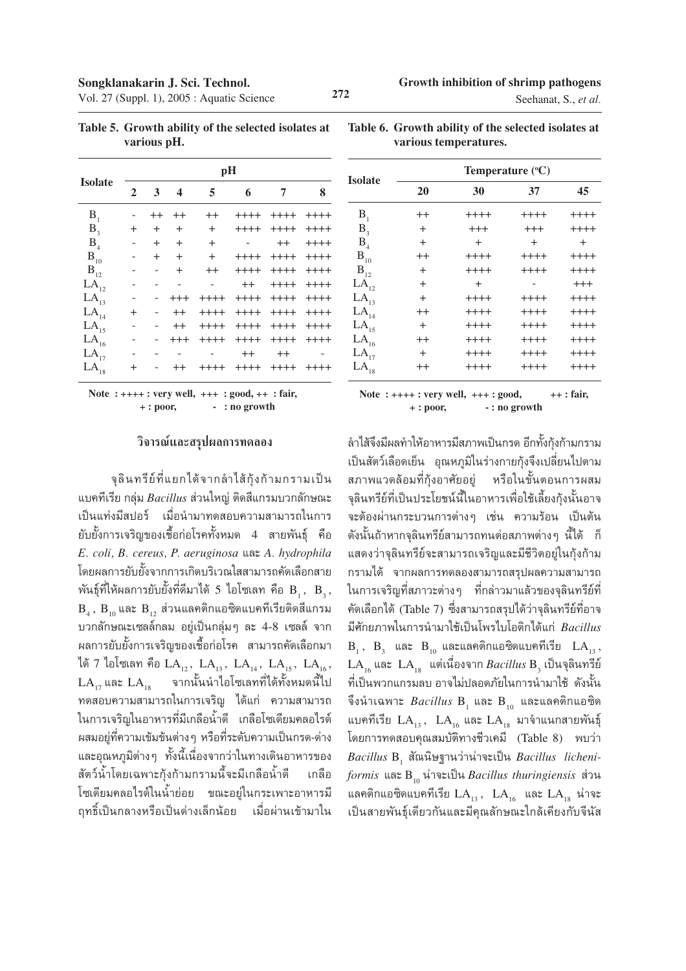| Seehanat, S., et al. |  |  |  |
|----------------------|--|--|--|
|----------------------|--|--|--|

|                       | pH             |           |                         |          |         |         |         |
|-----------------------|----------------|-----------|-------------------------|----------|---------|---------|---------|
| <b>Isolate</b>        | $\overline{2}$ | 3         | $\overline{\mathbf{4}}$ | 5        | 6       | 7       | 8       |
| B <sub>1</sub>        |                | $^{++}$   | $^{++}$                 | $^{++}$  | $++++-$ | $+++++$ | $+++++$ |
| $B_{3}$               | $\pm$          | $^{+}$    | $^{+}$                  | $^{+}$   | $++++$  | $+++++$ | $+++++$ |
| B <sub>4</sub>        |                | $^{+}$    | $^{+}$                  | $^{+}$   |         | $^{++}$ | $++++$  |
| $\mathbf{B}_{_{10}}$  |                | $\ddot{}$ | $+$                     | $+$      | $+++++$ | $+++++$ | $+++++$ |
| $\mathbf{B}_{12}$     |                |           | $^{+}$                  | $^{++}$  | $++++$  | $+++++$ | $+++++$ |
| $LA_{12}$             |                |           |                         |          | $^{++}$ | $+++++$ | $+++++$ |
| $LA_{13}$             |                |           | $^{+++}$                | $+++++$  | $++++$  | $+++++$ | $+++++$ |
| $LA_{14}$             | $\ddot{}$      |           | $^{++}$                 | $++++$   | $+++++$ | $+++++$ | $+++++$ |
| $LA_{15}$             |                |           | $^{++}$                 | $+++++$  | $+++++$ | $+++++$ | $+++++$ |
| $LA_{16}$             |                |           | $^{+++}$                | $+++++$  | $+++++$ | $+++++$ | $+++++$ |
| $LA_{17}$             |                |           |                         |          | $^{++}$ | $^{++}$ |         |
| $\mathrm{LA}_{_{18}}$ | $\pm$          |           |                         | $^{+++}$ | $++++$  | $+++++$ |         |

**Table 5. Growth ability of the selected isolates at various pH.**

| Table 6. Growth ability of the selected isolates at |
|-----------------------------------------------------|
| various temperatures.                               |

|            | $+++$ : very well, $+++$ : good, $++$ : fair, |  |
|------------|-----------------------------------------------|--|
| $+:$ poor, | $-$ : no growth                               |  |

#### วิจารณ์และสรุปผลการทดลอง

**Note : ++** 

็จุลินทรีย์ที่แยกได้จากลำไส้กุ้งก้ามกรามเป็น ·∫§∑'‡√'¬ °≈ÿà¡ *Bacillus* à«π"À≠à µ'¥ '·°√¡∫«°≈—°…≥– ู้เป็นแท่งมีสปอร์ เมื่อนำมาทดสอบความสามารถในการ ี ยับยั้งการเจริญของเชื้อก่อโรคทั้งหมด 4 สายพันธุ์ คือ *E. coli, B. cereus, P. aeruginosa* ·≈– *A. hydrophila* โดยผลการยับยั้งจากการเกิดบริเวณใสสามารถคัดเลือกสาย พันธุ์ที่ให้ผลการยับยั้งที่ดีมาได้ 5 ไอโซเลท คือ  $\mathrm{B_{_1},\ B_{_3}},$  $B_4$ ,  $B_{10}$ และ  $B_{12}$  ส่วนแลคติกแอซิดแบคทีเรียติดสีแกรม บวกลักษณะเซลล์กลม อยู่เป็นกลุ่มๆ ละ 4-8 เซลล์ จาก ิ ผลการยับยั้งการเจริญของเชื้อก่อโรค สามารถคัดเลือกมา ได้ 7 ไอโซเลท คือ  $LA_{12}$ ,  $LA_{13}$ ,  $LA_{14}$ ,  $LA_{15}$ ,  $LA_{16}$ ,  $\overline{\text{LA}}_{17}$ และ  $\overline{\text{LA}}_{18}$  อากนั้นนำไอโซเลทที่ได้ทั้งหมดนี้ไป ึทดสอบความสามารถในการเจริญ ได้แก่ ความสามารถ ในการเจริญในอาหารที่มีเกลือน้ำดี เกลือโซเดียมคลอไรด์ ี ผสมอยู่ที่ความเข้มข้นต่าง ๆ หรือที่ระดับความเป็นกรด-ด่าง ึ และอุณหภูมิต่างๆ ทั้งนี้เนื่องจากว่าในทางเดินอาหารของ ี สัตว์น้ำโดยเฉพาะกุ้งก้ามกรามนี้จะมีเกลือน้ำดี เกลือ ์ โซเดียมคลอไรด์ในน้ำย่อย ขณะอยู่ในกระเพาะอาหารมี ี่ ฤทธิ์เป็นกลางหรือเป็นด่างเล็กน้อย เมื่อผ่านเข้ามาใน

|                      | Temperature $(^{\circ}C)$ |           |           |           |  |  |  |
|----------------------|---------------------------|-----------|-----------|-----------|--|--|--|
| <b>Isolate</b>       | 20                        | 30        | 37        | 45        |  |  |  |
| $B_{1}$              | $^{++}$                   | $+++++$   | $+++++$   | $+++++$   |  |  |  |
| B <sub>3</sub>       | $\pm$                     | $^{+++}$  | $^{+++}$  | $+++++$   |  |  |  |
| B <sub>4</sub>       | $^{+}$                    | $\ddot{}$ | $\ddot{}$ | $\ddot{}$ |  |  |  |
| $\mathbf{B}_{_{10}}$ | $^{++}$                   | $++++$    | $++++$    | $++++$    |  |  |  |
| $B_{12}$             | $\ddot{}$                 | $+++++$   | $++++$    | $+++++$   |  |  |  |
| $LA_{12}$            | $^{+}$                    | $+$       |           | $^{+++}$  |  |  |  |
| $LA_{13}$            | $\ddot{}$                 | $++++$    | $+++++$   | $++++$    |  |  |  |
| LA <sub>14</sub>     | $^{++}$                   | $++++$    | $++++$    | $+++++$   |  |  |  |
| $LA_{15}$            | $\ddot{}$                 | $+++++$   | $+++++$   | $+++++$   |  |  |  |
| $LA_{16}$            | $^{++}$                   | $++++$    | $+++++$   | $++++$    |  |  |  |
| $LA_{17}$            | $^{+}$                    | $+++++$   | $+++++$   | $+++++$   |  |  |  |
| $LA_{18}$            | $^{++}$                   | $+++++$   | $+++++$   | $+++++$   |  |  |  |

 **Note : ++++ : very well, +++ : good, ++ : fair, + : poor, - : no growth**

้ลำไส้จึงมีผลทำให้อาหารมีสภาพเป็นกรด อีกทั้งกุ้งก้ามกราม ู้เป็นสัตว์เลือดเย็น อุณหภูมิในร่างกายกุ้งจึงเปลี่ยนไปตาม ิสภาพแวดล้อมที่กุ้งอาศัยอยู่ หรือในขั้นตอนการผสม ็จุลินทรีย์ที่เป็นประโยชน์นี้ในอาหารเพื่อใช้เลี้ยงกุ้งนั้นอาจ จะต้องผ่านกระบวนการต่างๆ เช่น ความร้อน เป็นต้น ์ ดังนั้นถ้าหากจุลินทรีย์สามารถทนต่อสภาพต่าง ๆ นี้ได้ ก็ แสดงว่าจุลินทรีย์จะสามารถเจริญและมีชีวิตอยู่ในกุ้งก้าม ึกรามได้ จากผลการทดลองสามารถสรุปผลความสามารถ ์ ในการเจริญที่สภาวะต่าง ๆ ที่กล่าวมาแล้วของจุลินทรีย์ที่ ์ คัดเลือกได้ (Table 7) ซึ่งสามารถสรุปได้ว่าจุลินทรีย์ที่อาจ ¡'»—°¬¿"æ"π°"√π"¡""™â‡ªìπ'æ√‰∫'Õµ'°‰¥â·°à *Bacillus*  $B_1$ ,  $B_3$  และ  $B_{10}$  และแลคติกแอซิดแบคทีเรีย  $LA_{13}$ ,  $LA_{16}$  และ  $LA_{18}$  แต่เนื่องจาก  $Bacillus$  B<sub>3</sub> เป็นจุลินทรีย์ ู้ที่เป็นพวกแกรมลบ อาจไม่ปลอดภัยในการนำมาใช้ ดังนั้น จึงนำเฉพาะ  $\textit{Bacillus} \text{ } \text{B}_{1}$  และ  $\text{B}_{10}$  และแลคติกแอซิด แบคทีเรีย  $LA_{13}$ ,  $LA_{16}$  และ  $LA_{18}$  มาจำแนกสายพันธุ์ โดยการทดสอบคุณสมบัติทางชีวเคมี (Table 8) พบว่า  $\emph{Bacillus}$  B<sub>1</sub> สัณนิษฐานว่าน่าจะเป็น *Bacillus licheniformis* และ B<sub>10</sub> น่าจะเป็น *Bacillus thuringiensis* ส่วน แลคติกแอซิดแบคทีเรีย  $LA_{13}$ ,  $LA_{16}$  และ  $LA_{18}$  น่าจะ เป็นสายพันธุ์เดียวกันและมีคุณลักษณะใกล้เคียงกับจีนัส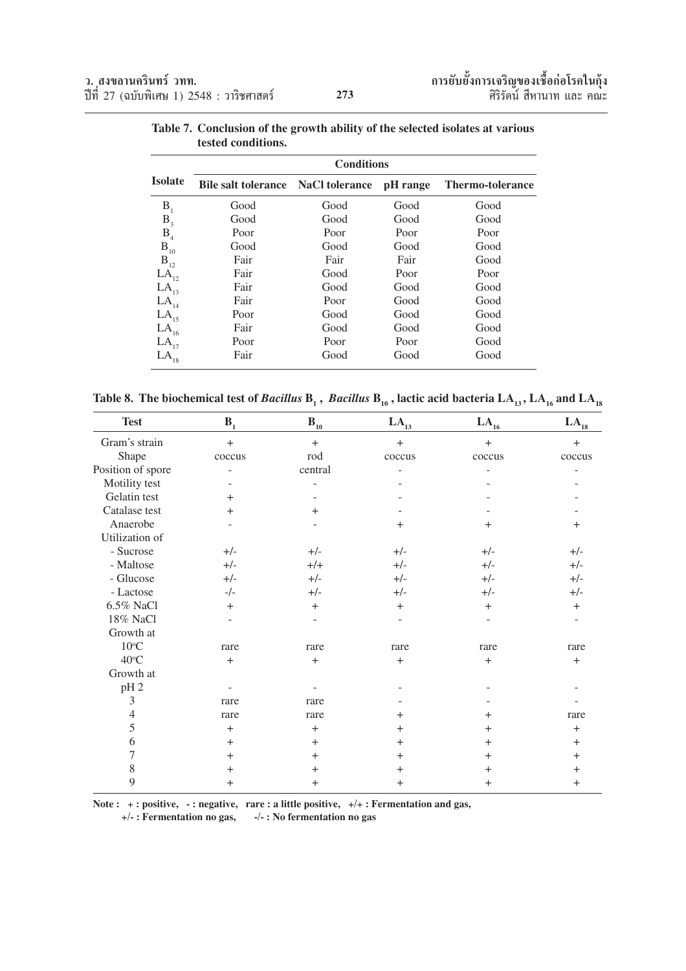|                  | <b>Conditions</b>          |                       |          |                         |  |  |  |
|------------------|----------------------------|-----------------------|----------|-------------------------|--|--|--|
| <b>Isolate</b>   | <b>Bile salt tolerance</b> | <b>NaCl tolerance</b> | pH range | <b>Thermo-tolerance</b> |  |  |  |
| B <sub>1</sub>   | Good                       | Good                  | Good     | Good                    |  |  |  |
| $B_3$            | Good                       | Good                  | Good     | Good                    |  |  |  |
| B <sub>4</sub>   | Poor                       | Poor                  | Poor     | Poor                    |  |  |  |
| $B_{10}$         | Good                       | Good                  | Good     | Good                    |  |  |  |
| $B_{12}$         | Fair                       | Fair                  | Fair     | Good                    |  |  |  |
| $LA_{12}$        | Fair                       | Good                  | Poor     | Poor                    |  |  |  |
| $LA_{13}$        | Fair                       | Good                  | Good     | Good                    |  |  |  |
| LA <sub>14</sub> | Fair                       | Poor                  | Good     | Good                    |  |  |  |
| $LA_{15}$        | Poor                       | Good                  | Good     | Good                    |  |  |  |
| $LA_{16}$        | Fair                       | Good                  | Good     | Good                    |  |  |  |
| $LA_{17}$        | Poor                       | Poor                  | Poor     | Good                    |  |  |  |
| $LA_{18}$        | Fair                       | Good                  | Good     | Good                    |  |  |  |

**Table 7. Conclusion of the growth ability of the selected isolates at various tested conditions.**

Table 8. The biochemical test of *Bacillus*  $\bf{B}_1$  , *Bacillus*  $\bf{B}_{10}$  , lactic acid bacteria  $\bf{LA}_{13}$  ,  $\bf{LA}_{16}$  and  $\bf{LA}_{18}$ 

| <b>Test</b>       | B <sub>1</sub> | $\mathbf{B}_{10}$ | $LA_{13}$ | $LA_{16}$         | $LA_{18}$      |
|-------------------|----------------|-------------------|-----------|-------------------|----------------|
| Gram's strain     | $+$            | $+$               | $+$       | $+$               | $+$            |
| Shape             | coccus         | rod               | coccus    | coccus            | coccus         |
| Position of spore | ÷              | central           |           |                   |                |
| Motility test     |                |                   |           |                   |                |
| Gelatin test      | $^{+}$         |                   |           |                   |                |
| Catalase test     | $+$            | $+$               |           |                   |                |
| Anaerobe          |                |                   | $+$       | $^{+}$            | $\mathrm{+}$   |
| Utilization of    |                |                   |           |                   |                |
| - Sucrose         | $+/-$          | $+/-$             | $+/-$     | $+/-$             | $+/-$          |
| - Maltose         | $+/-$          | $+/+$             | $+/-$     | $+/-$             | $+/-$          |
| - Glucose         | $+/-$          | $+/-$             | $+/-$     | $+/-$             | $+/-$          |
| - Lactose         | $-/-$          | $+/-$             | $+/-$     | $+/-$             | $+/-$          |
| 6.5% NaCl         | $+$            | $+$               | $+$       | $^{+}$            | $^{+}$         |
| 18% NaCl          |                |                   |           |                   |                |
| Growth at         |                |                   |           |                   |                |
| $10^{\circ}$ C    | rare           | rare              | rare      | rare              | rare           |
| $40^{\circ}$ C    | $+$            | $^{+}$            | $+$       | $\qquad \qquad +$ | $^{+}$         |
| Growth at         |                |                   |           |                   |                |
| pH <sub>2</sub>   |                |                   |           |                   |                |
| 3                 | rare           | rare              |           |                   |                |
| 4                 | rare           | rare              | $^{+}$    | $^{+}$            | rare           |
| 5                 | $^{+}$         | $^{+}$            | $^{+}$    | $^{+}$            | $^{+}$         |
| 6                 | $^{+}$         | $+$               | $^{+}$    | $^{+}$            | $^{+}$         |
| 7                 | $+$            | $+$               | $^{+}$    | $^{+}$            | $^+$           |
| 8                 | $^{+}$         | $+$               | $^{+}$    | $+$               | $\mathrm{+}$   |
| 9                 | $^{+}$         | $+$               | $+$       | $^{+}$            | $\overline{+}$ |

Note : + : positive, - : negative, rare : a little positive,  $+/+$  : Fermentation and gas,

 **+/- : Fermentation no gas, -/- : No fermentation no gas**